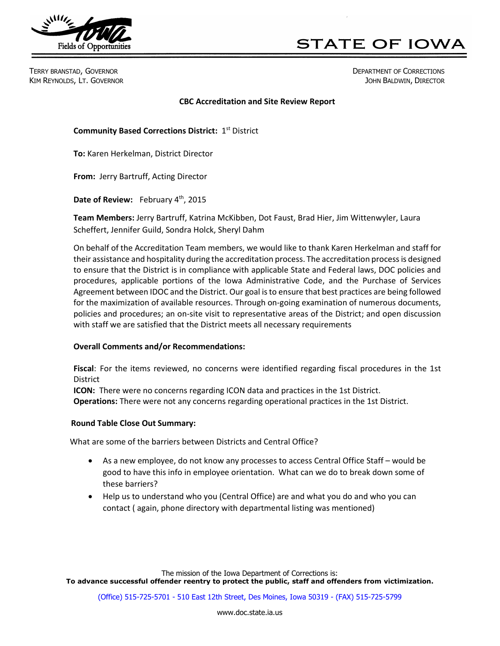

# **STATE OF IOW**

TERRY BRANSTAD, GOVERNOR DEPARTMENT OF CORRECTIONS KIM REYNOLDS, LT. GOVERNOR **STATES AND THE SET OF STATES ASSESSED** TO HIS SECTOR JOHN BALDWIN, DIRECTOR

### **CBC Accreditation and Site Review Report**

## **Community Based Corrections District:** 1<sup>st</sup> District

**To:** Karen Herkelman, District Director

**From:** Jerry Bartruff, Acting Director

**Date of Review:** February 4<sup>th</sup>, 2015

**Team Members:** Jerry Bartruff, Katrina McKibben, Dot Faust, Brad Hier, Jim Wittenwyler, Laura Scheffert, Jennifer Guild, Sondra Holck, Sheryl Dahm

On behalf of the Accreditation Team members, we would like to thank Karen Herkelman and staff for their assistance and hospitality during the accreditation process. The accreditation process is designed to ensure that the District is in compliance with applicable State and Federal laws, DOC policies and procedures, applicable portions of the Iowa Administrative Code, and the Purchase of Services Agreement between IDOC and the District. Our goal is to ensure that best practices are being followed for the maximization of available resources. Through on-going examination of numerous documents, policies and procedures; an on-site visit to representative areas of the District; and open discussion with staff we are satisfied that the District meets all necessary requirements

#### **Overall Comments and/or Recommendations:**

**Fiscal**: For the items reviewed, no concerns were identified regarding fiscal procedures in the 1st **District** 

**ICON:** There were no concerns regarding ICON data and practices in the 1st District.

**Operations:** There were not any concerns regarding operational practices in the 1st District.

#### **Round Table Close Out Summary:**

What are some of the barriers between Districts and Central Office?

- As a new employee, do not know any processes to access Central Office Staff would be good to have this info in employee orientation. What can we do to break down some of these barriers?
- Help us to understand who you (Central Office) are and what you do and who you can contact ( again, phone directory with departmental listing was mentioned)

**To advance successful offender reentry to protect the public, staff and offenders from victimization.**

(Office) 515-725-5701 - 510 East 12th Street, Des Moines, Iowa 50319 - (FAX) 515-725-5799